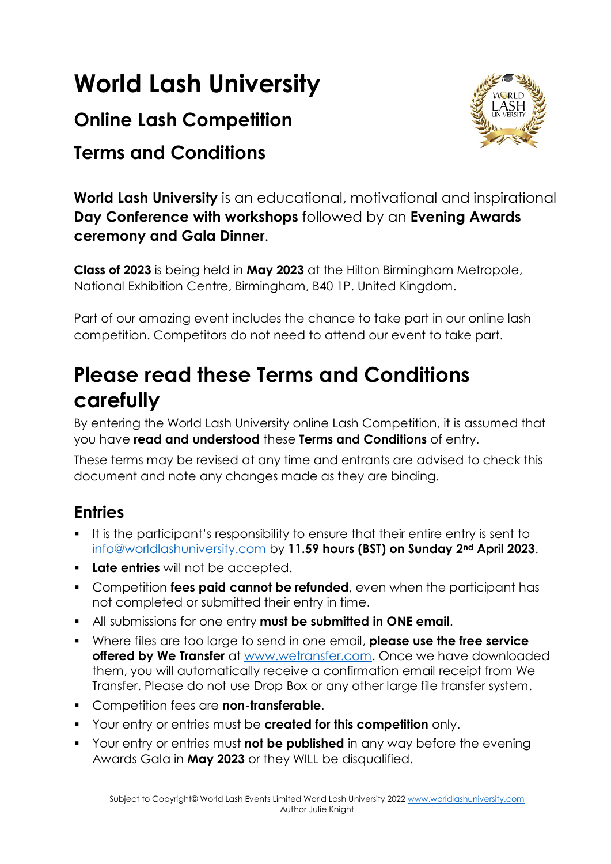# **World Lash University**

## **Online Lash Competition**

## **Terms and Conditions**



**World Lash University** is an educational, motivational and inspirational **Day Conference with workshops** followed by an **Evening Awards ceremony and Gala Dinner**.

**Class of 2023** is being held in **May 2023** at the Hilton Birmingham Metropole, National Exhibition Centre, Birmingham, B40 1P. United Kingdom.

Part of our amazing event includes the chance to take part in our online lash competition. Competitors do not need to attend our event to take part.

## **Please read these Terms and Conditions carefully**

By entering the World Lash University online Lash Competition, it is assumed that you have **read and understood** these **Terms and Conditions** of entry.

These terms may be revised at any time and entrants are advised to check this document and note any changes made as they are binding.

## **Entries**

- It is the participant's responsibility to ensure that their entire entry is sent to [info@worldlashuniversity.com](mailto:info@worldlashuniversity.com) by **11.59 hours (BST) on Sunday 2nd April 2023**.
- **Late entries** will not be accepted.
- **Competition fees paid cannot be refunded**, even when the participant has not completed or submitted their entry in time.
- All submissions for one entry **must be submitted in ONE email**.
- Where files are too large to send in one email, **please use the free service offered by We Transfer** at [www.wetransfer.com.](http://www.wetransfer.com/) Once we have downloaded them, you will automatically receive a confirmation email receipt from We Transfer. Please do not use Drop Box or any other large file transfer system.
- Competition fees are **non-transferable**.
- Your entry or entries must be **created for this competition** only.
- Your entry or entries must **not be published** in any way before the evening Awards Gala in **May 2023** or they WILL be disqualified.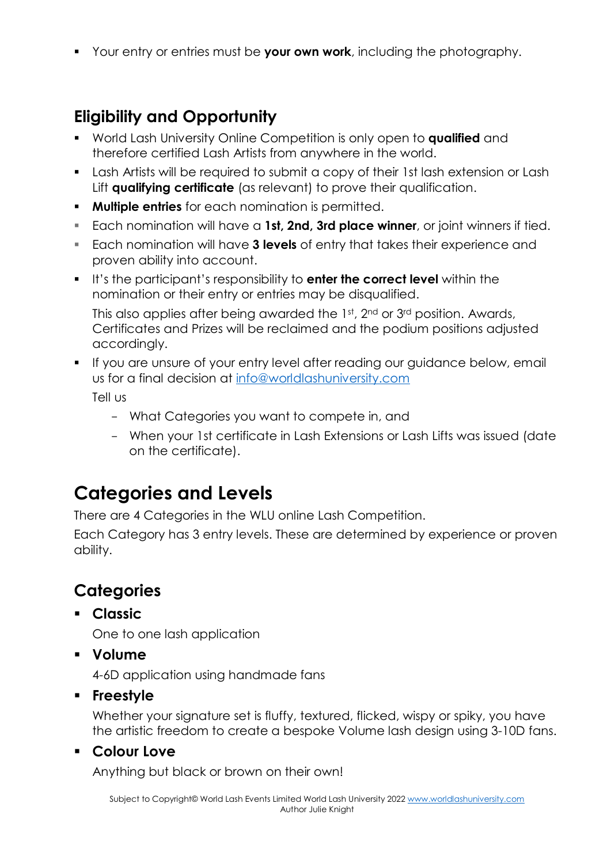Your entry or entries must be **your own work**, including the photography.

## **Eligibility and Opportunity**

- World Lash University Online Competition is only open to **qualified** and therefore certified Lash Artists from anywhere in the world.
- **Lash Artists will be required to submit a copy of their 1st lash extension or Lash** Lift **qualifying certificate** (as relevant) to prove their qualification.
- **Multiple entries** for each nomination is permitted.
- Each nomination will have a **1st, 2nd, 3rd place winner**, or joint winners if tied.
- Each nomination will have **3 levels** of entry that takes their experience and proven ability into account.
- It's the participant's responsibility to **enter the correct level** within the nomination or their entry or entries may be disqualified.

This also applies after being awarded the 1st, 2<sup>nd</sup> or 3<sup>rd</sup> position. Awards, Certificates and Prizes will be reclaimed and the podium positions adjusted accordingly.

- **If you are unsure of your entry level after reading our guidance below, email** us for a final decision at [info@worldlashuniversity.com](mailto:info@worldlashuniversity.com)  Tell us
	- What Categories you want to compete in, and
	- When your 1st certificate in Lash Extensions or Lash Lifts was issued (date on the certificate).

## **Categories and Levels**

There are 4 Categories in the WLU online Lash Competition.

Each Category has 3 entry levels. These are determined by experience or proven ability.

## **Categories**

**Classic** 

One to one lash application

**Volume** 

4-6D application using handmade fans

**Freestyle** 

Whether your signature set is fluffy, textured, flicked, wispy or spiky, you have the artistic freedom to create a bespoke Volume lash design using 3-10D fans.

**Colour Love** 

Anything but black or brown on their own!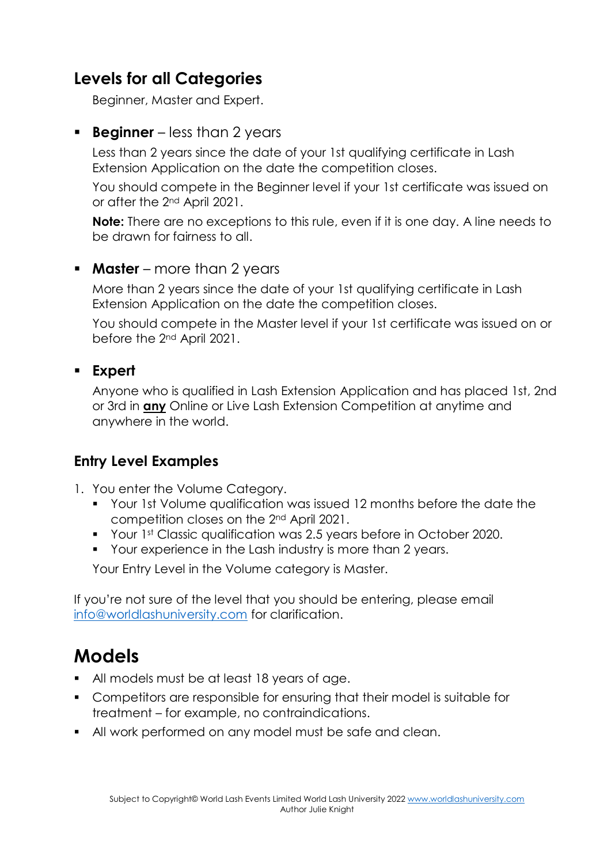#### **Levels for all Categories**

Beginner, Master and Expert.

#### **Beginner** – less than 2 years

Less than 2 years since the date of your 1st qualifying certificate in Lash Extension Application on the date the competition closes.

You should compete in the Beginner level if your 1st certificate was issued on or after the 2nd April 2021.

**Note:** There are no exceptions to this rule, even if it is one day. A line needs to be drawn for fairness to all.

#### **Master** – more than 2 years

More than 2 years since the date of your 1st qualifying certificate in Lash Extension Application on the date the competition closes.

You should compete in the Master level if your 1st certificate was issued on or before the 2nd April 2021.

#### **Expert**

Anyone who is qualified in Lash Extension Application and has placed 1st, 2nd or 3rd in **any** Online or Live Lash Extension Competition at anytime and anywhere in the world.

#### **Entry Level Examples**

- 1. You enter the Volume Category.
	- Your 1st Volume qualification was issued 12 months before the date the competition closes on the 2nd April 2021.
	- **Your 1st Classic qualification was 2.5 years before in October 2020.**
	- Your experience in the Lash industry is more than 2 years.

Your Entry Level in the Volume category is Master.

If you're not sure of the level that you should be entering, please email [info@worldlashuniversity.com](mailto:info@worldlashuniversity.com) for clarification.

## **Models**

- All models must be at least 18 years of age.
- Competitors are responsible for ensuring that their model is suitable for treatment – for example, no contraindications.
- All work performed on any model must be safe and clean.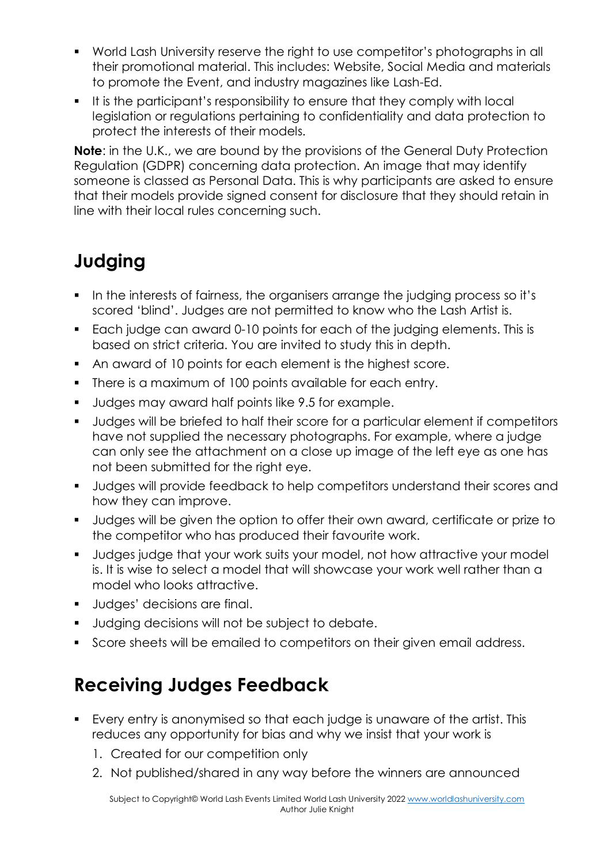- World Lash University reserve the right to use competitor's photographs in all their promotional material. This includes: Website, Social Media and materials to promote the Event, and industry magazines like Lash-Ed.
- If is the participant's responsibility to ensure that they comply with local legislation or regulations pertaining to confidentiality and data protection to protect the interests of their models.

**Note**: in the U.K., we are bound by the provisions of the General Duty Protection Regulation (GDPR) concerning data protection. An image that may identify someone is classed as Personal Data. This is why participants are asked to ensure that their models provide signed consent for disclosure that they should retain in line with their local rules concerning such.

## **Judging**

- In the interests of fairness, the organisers arrange the judging process so it's scored 'blind'. Judges are not permitted to know who the Lash Artist is.
- Each judge can award 0-10 points for each of the judging elements. This is based on strict criteria. You are invited to study this in depth.
- An award of 10 points for each element is the highest score.
- **There is a maximum of 100 points available for each entry.**
- **Judges may award half points like 9.5 for example.**
- **Judges will be briefed to half their score for a particular element if competitors** have not supplied the necessary photographs. For example, where a judge can only see the attachment on a close up image of the left eye as one has not been submitted for the right eye.
- **Judges will provide feedback to help competitors understand their scores and** how they can improve.
- Judges will be given the option to offer their own award, certificate or prize to the competitor who has produced their favourite work.
- Judges judge that your work suits your model, not how attractive your model is. It is wise to select a model that will showcase your work well rather than a model who looks attractive.
- **Judges' decisions are final.**
- **Judging decisions will not be subject to debate.**
- Score sheets will be emailed to competitors on their given email address.

## **Receiving Judges Feedback**

- Every entry is anonymised so that each judge is unaware of the artist. This reduces any opportunity for bias and why we insist that your work is
	- 1. Created for our competition only
	- 2. Not published/shared in any way before the winners are announced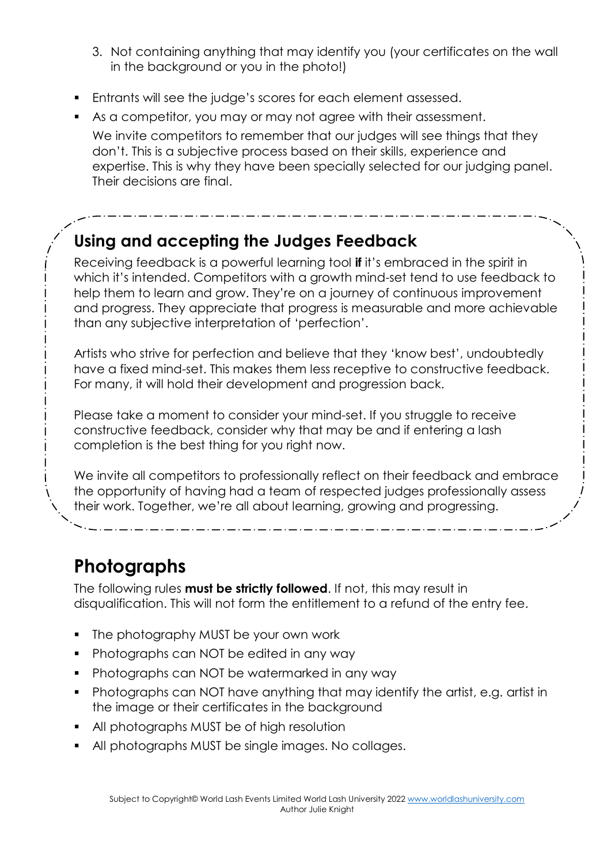- 3. Not containing anything that may identify you (your certificates on the wall in the background or you in the photo!)
- **Entrants will see the judge's scores for each element assessed.**
- As a competitor, you may or may not agree with their assessment. We invite competitors to remember that our judges will see things that they don't. This is a subjective process based on their skills, experience and expertise. This is why they have been specially selected for our judging panel. Their decisions are final.

## **Using and accepting the Judges Feedback**

Receiving feedback is a powerful learning tool **if** it's embraced in the spirit in which it's intended. Competitors with a growth mind-set tend to use feedback to help them to learn and grow. They're on a journey of continuous improvement and progress. They appreciate that progress is measurable and more achievable than any subjective interpretation of 'perfection'.

Artists who strive for perfection and believe that they 'know best', undoubtedly have a fixed mind-set. This makes them less receptive to constructive feedback. For many, it will hold their development and progression back.

Please take a moment to consider your mind-set. If you struggle to receive constructive feedback, consider why that may be and if entering a lash completion is the best thing for you right now.

We invite all competitors to professionally reflect on their feedback and embrace the opportunity of having had a team of respected judges professionally assess their work. Together, we're all about learning, growing and progressing.

## **Photographs**

The following rules **must be strictly followed**. If not, this may result in disqualification. This will not form the entitlement to a refund of the entry fee.

- The photography MUST be your own work
- Photographs can NOT be edited in any way
- **Photographs can NOT be watermarked in any way**
- Photographs can NOT have anything that may identify the artist, e.g. artist in the image or their certificates in the background
- All photographs MUST be of high resolution
- All photographs MUST be single images. No collages.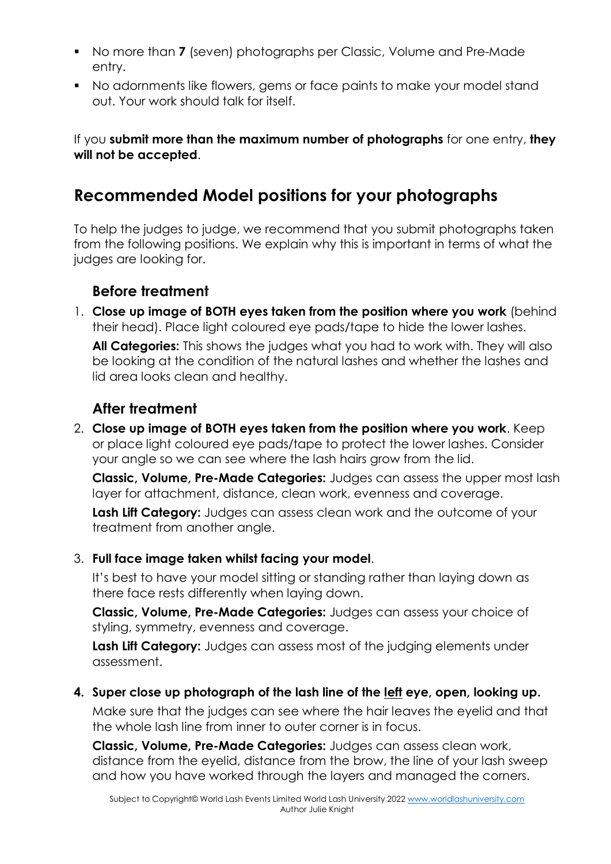- No more than **7** (seven) photographs per Classic, Volume and Pre-Made entry.
- No adornments like flowers, gems or face paints to make your model stand out. Your work should talk for itself.

If you **submit more than the maximum number of photographs** for one entry, **they will not be accepted**.

### **Recommended Model positions for your photographs**

To help the judges to judge, we recommend that you submit photographs taken from the following positions. We explain why this is important in terms of what the judges are looking for.

#### **Before treatment**

1. **Close up image of BOTH eyes taken from the position where you work** (behind their head). Place light coloured eye pads/tape to hide the lower lashes. **All Categories:** This shows the judges what you had to work with. They will also be looking at the condition of the natural lashes and whether the lashes and lid area looks clean and healthy.

#### **After treatment**

2. **Close up image of BOTH eyes taken from the position where you work**. Keep or place light coloured eye pads/tape to protect the lower lashes. Consider your angle so we can see where the lash hairs grow from the lid.

**Classic, Volume, Pre-Made Categories:** Judges can assess the upper most lash layer for attachment, distance, clean work, evenness and coverage.

**Lash Lift Category:** Judges can assess clean work and the outcome of your treatment from another angle.

#### 3. **Full face image taken whilst facing your model**.

It's best to have your model sitting or standing rather than laying down as there face rests differently when laying down.

**Classic, Volume, Pre-Made Categories:** Judges can assess your choice of styling, symmetry, evenness and coverage.

**Lash Lift Category:** Judges can assess most of the judging elements under assessment.

#### **4. Super close up photograph of the lash line of the left eye, open, looking up.**

Make sure that the judges can see where the hair leaves the eyelid and that the whole lash line from inner to outer corner is in focus.

**Classic, Volume, Pre-Made Categories:** Judges can assess clean work, distance from the eyelid, distance from the brow, the line of your lash sweep and how you have worked through the layers and managed the corners.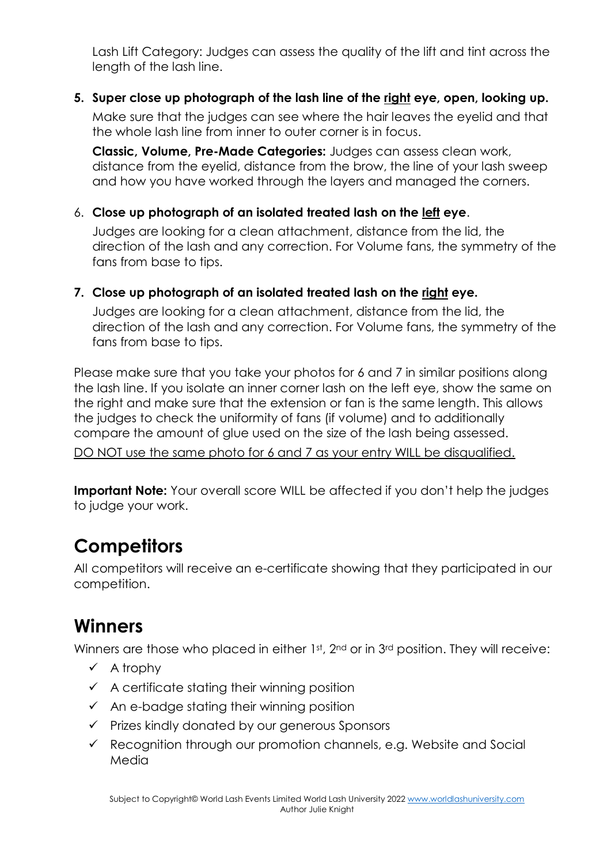Lash Lift Category: Judges can assess the quality of the lift and tint across the length of the lash line.

#### **5. Super close up photograph of the lash line of the right eye, open, looking up.**

Make sure that the judges can see where the hair leaves the eyelid and that the whole lash line from inner to outer corner is in focus.

**Classic, Volume, Pre-Made Categories:** Judges can assess clean work, distance from the eyelid, distance from the brow, the line of your lash sweep and how you have worked through the layers and managed the corners.

#### 6. **Close up photograph of an isolated treated lash on the left eye**.

Judges are looking for a clean attachment, distance from the lid, the direction of the lash and any correction. For Volume fans, the symmetry of the fans from base to tips.

#### **7. Close up photograph of an isolated treated lash on the right eye.**

Judges are looking for a clean attachment, distance from the lid, the direction of the lash and any correction. For Volume fans, the symmetry of the fans from base to tips.

Please make sure that you take your photos for 6 and 7 in similar positions along the lash line. If you isolate an inner corner lash on the left eye, show the same on the right and make sure that the extension or fan is the same length. This allows the judges to check the uniformity of fans (if volume) and to additionally compare the amount of glue used on the size of the lash being assessed.

DO NOT use the same photo for 6 and 7 as your entry WILL be disqualified.

**Important Note:** Your overall score WILL be affected if you don't help the judges to judge your work.

## **Competitors**

All competitors will receive an e-certificate showing that they participated in our competition.

## **Winners**

Winners are those who placed in either 1st, 2<sup>nd</sup> or in 3<sup>rd</sup> position. They will receive:

- $\checkmark$  A trophy
- $\checkmark$  A certificate stating their winning position
- $\checkmark$  An e-badge stating their winning position
- $\checkmark$  Prizes kindly donated by our generous Sponsors
- $\checkmark$  Recognition through our promotion channels, e.g. Website and Social Media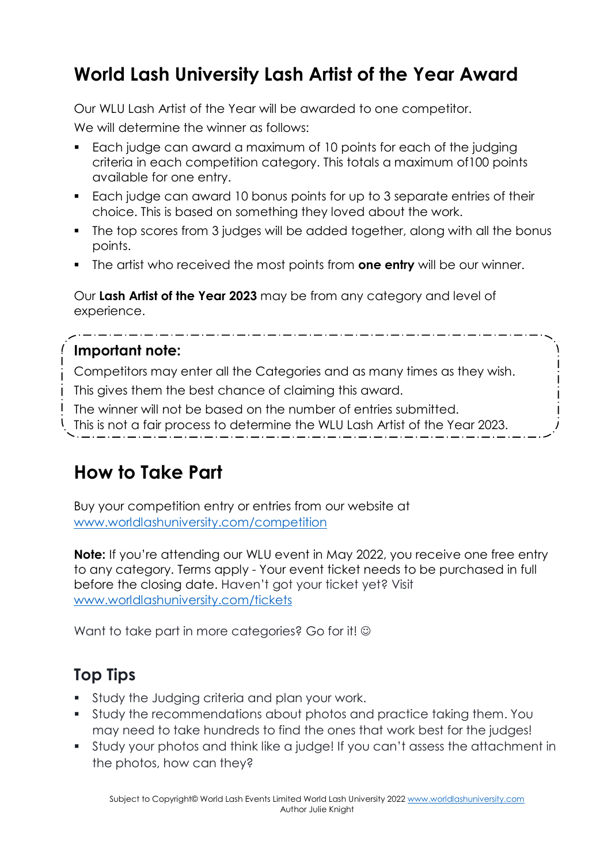## **World Lash University Lash Artist of the Year Award**

Our WLU Lash Artist of the Year will be awarded to one competitor.

We will determine the winner as follows:

- Each judge can award a maximum of 10 points for each of the judging criteria in each competition category. This totals a maximum of100 points available for one entry.
- Each judge can award 10 bonus points for up to 3 separate entries of their choice. This is based on something they loved about the work.
- The top scores from 3 judges will be added together, along with all the bonus points.
- The artist who received the most points from **one entry** will be our winner.

Our **Lash Artist of the Year 2023** may be from any category and level of experience.

#### **Important note:**

Competitors may enter all the Categories and as many times as they wish.

This gives them the best chance of claiming this award.

The winner will not be based on the number of entries submitted.

This is not a fair process to determine the WLU Lash Artist of the Year 2023.

## **How to Take Part**

Buy your competition entry or entries from our website at [www.worldlashuniversity.com/competition](http://www.worldlashuniversity.com/competition) 

**Note:** If you're attending our WLU event in May 2022, you receive one free entry to any category. Terms apply - Your event ticket needs to be purchased in full before the closing date. Haven't got your ticket yet? Visit [www.worldlashuniversity.com/tickets](http://www.worldlashuniversity.com/tickets)

Want to take part in more categories? Go for it! ©

## **Top Tips**

- **Study the Judging criteria and plan your work.**
- Study the recommendations about photos and practice taking them. You may need to take hundreds to find the ones that work best for the judges!
- Study your photos and think like a judge! If you can't assess the attachment in the photos, how can they?